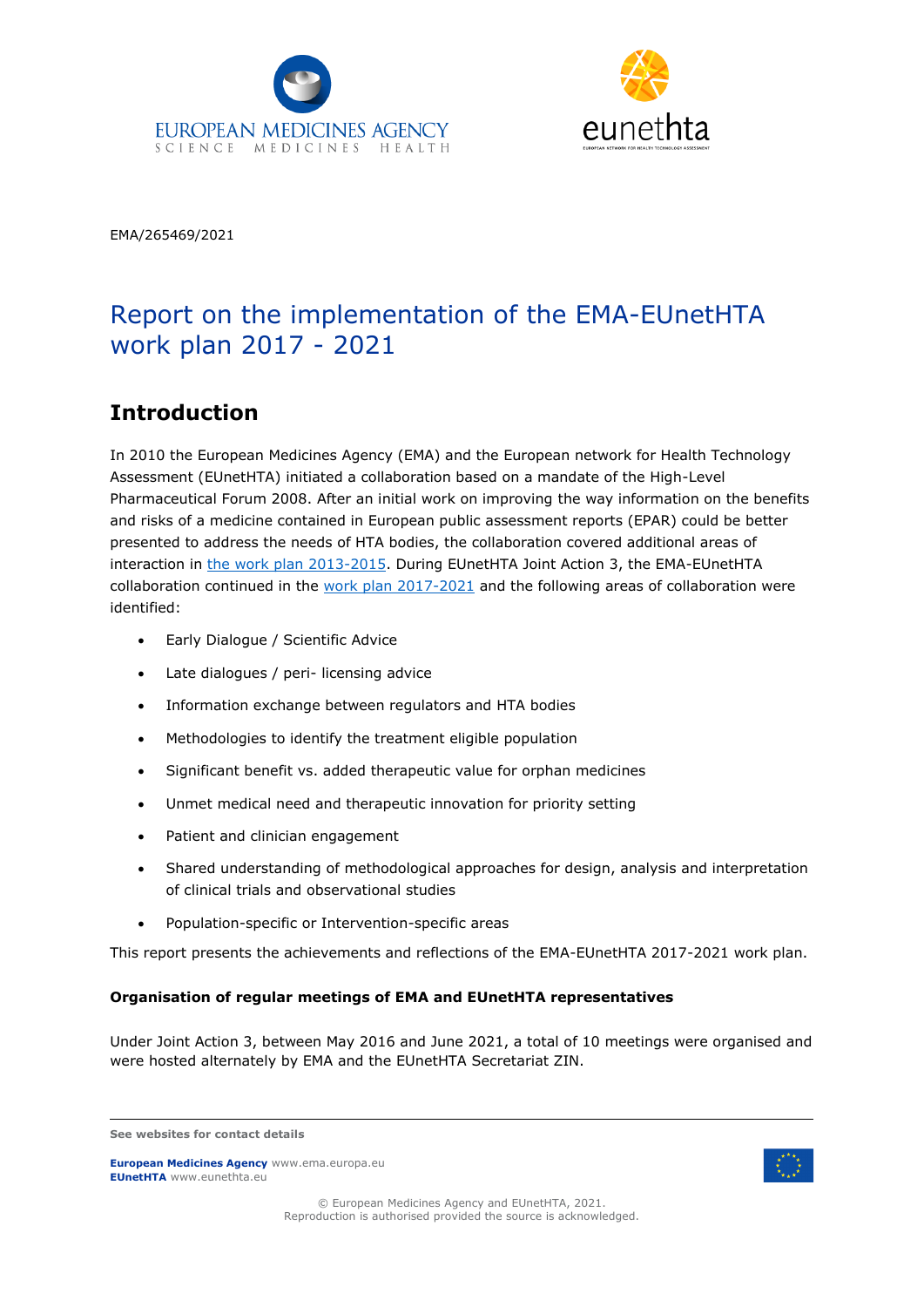



EMA/265469/2021

# Report on the implementation of the EMA-EUnetHTA work plan 2017 - 2021

### **Introduction**

In 2010 the European Medicines Agency (EMA) and the European network for Health Technology Assessment (EUnetHTA) initiated a collaboration based on a mandate of the High-Level Pharmaceutical Forum 2008. After an initial work on improving the way information on the benefits and risks of a medicine contained in European public assessment reports (EPAR) could be better presented to address the needs of HTA bodies, the collaboration covered additional areas of interaction in [the work plan 2013-2015.](https://www.ema.europa.eu/en/documents/other/european-medicines-agency-eunethta-three-year-work-plan_en.pdf) During EUnetHTA Joint Action 3, the EMA-EUnetHTA collaboration continued in the [work plan 2017-2021](https://www.ema.europa.eu/en/documents/other/ema-eunethta-work-plan-2017-2021_en.pdf) and the following areas of collaboration were identified:

- Early Dialogue / Scientific Advice
- Late dialogues / peri- licensing advice
- Information exchange between regulators and HTA bodies
- Methodologies to identify the treatment eligible population
- Significant benefit vs. added therapeutic value for orphan medicines
- Unmet medical need and therapeutic innovation for priority setting
- Patient and clinician engagement
- Shared understanding of methodological approaches for design, analysis and interpretation of clinical trials and observational studies
- Population-specific or Intervention-specific areas

This report presents the achievements and reflections of the EMA-EUnetHTA 2017-2021 work plan.

### **Organisation of regular meetings of EMA and EUnetHTA representatives**

Under Joint Action 3, between May 2016 and June 2021, a total of 10 meetings were organised and were hosted alternately by EMA and the EUnetHTA Secretariat ZIN.

**European Medicines Agency** www.ema.europa.eu **EUnetHTA** www.eunethta.eu



© European Medicines Agency and EUnetHTA, 2021. Reproduction is authorised provided the source is acknowledged.

**See websites for contact details**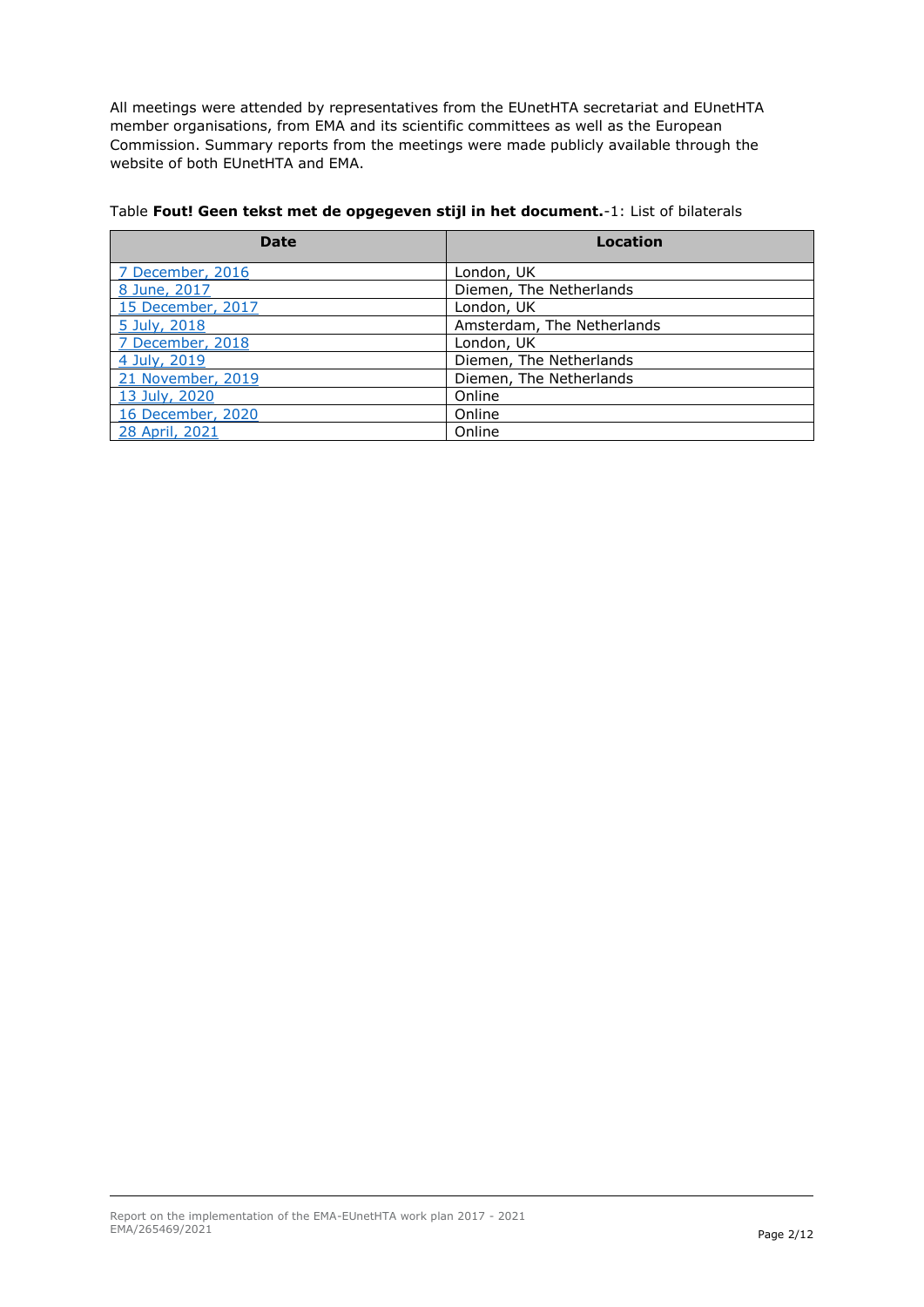All meetings were attended by representatives from the EUnetHTA secretariat and EUnetHTA member organisations, from EMA and its scientific committees as well as the European Commission. Summary reports from the meetings were made publicly available through the website of both EUnetHTA and EMA.

| <b>Date</b>       | Location                   |
|-------------------|----------------------------|
| 7 December, 2016  | London, UK                 |
| 8 June, 2017      | Diemen, The Netherlands    |
| 15 December, 2017 | London, UK                 |
| 5 July, 2018      | Amsterdam, The Netherlands |
| 7 December, 2018  | London, UK                 |
| 4 July, 2019      | Diemen, The Netherlands    |
| 21 November, 2019 | Diemen, The Netherlands    |
| 13 July, 2020     | Online                     |
| 16 December, 2020 | Online                     |
| 28 April, 2021    | Online                     |

#### Table **Fout! Geen tekst met de opgegeven stijl in het document.**-1: List of bilaterals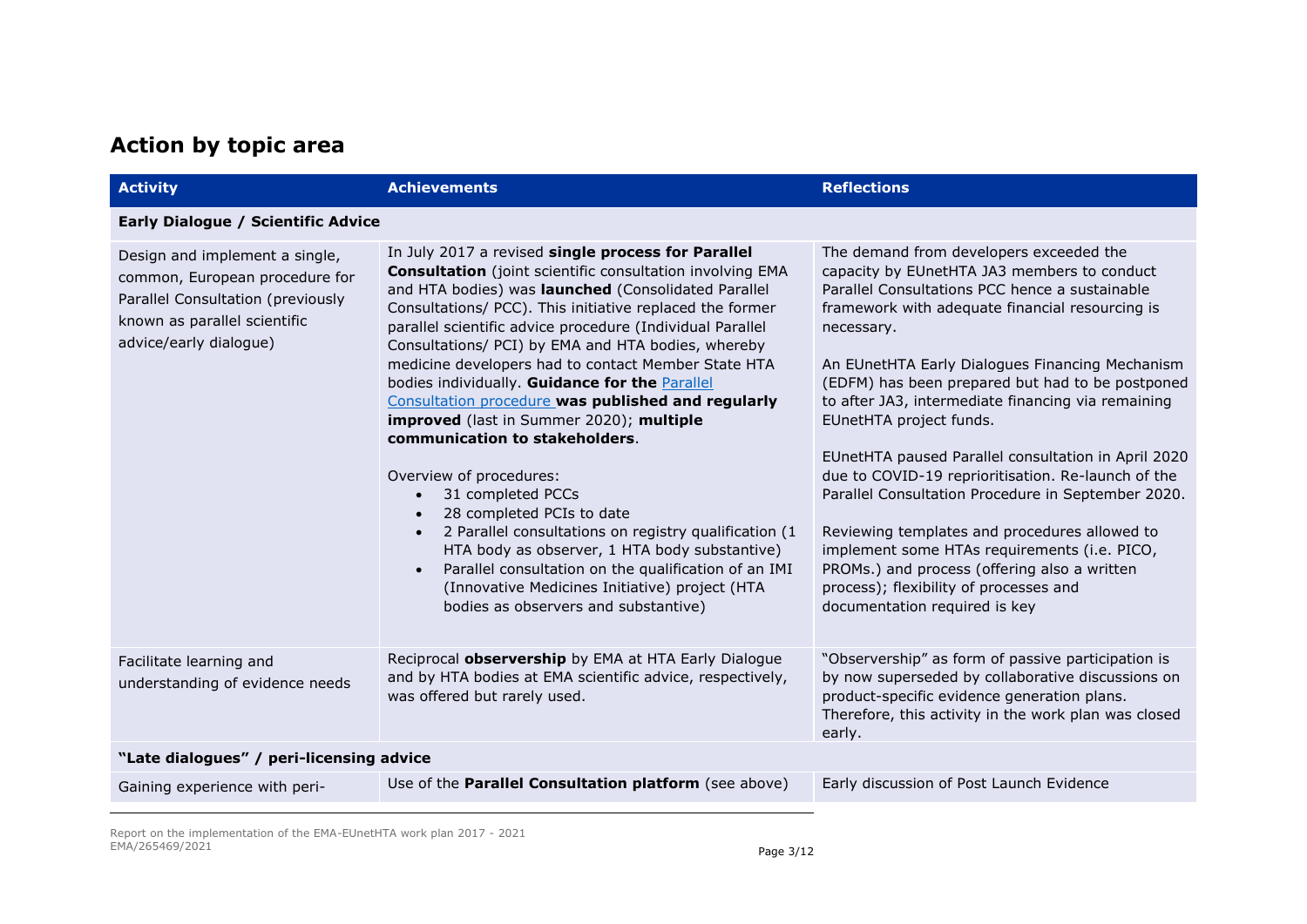## **Action by topic area**

| <b>Activity</b>                                                                                                                                                 | <b>Achievements</b>                                                                                                                                                                                                                                                                                                                                                                                                                                                                                                                                                                                                                                                                                                                                                                                                                                                                                                                                | <b>Reflections</b>                                                                                                                                                                                                                                                                                                                                                                                                                                                                                                                                                                                                                                                                                                                                                                               |
|-----------------------------------------------------------------------------------------------------------------------------------------------------------------|----------------------------------------------------------------------------------------------------------------------------------------------------------------------------------------------------------------------------------------------------------------------------------------------------------------------------------------------------------------------------------------------------------------------------------------------------------------------------------------------------------------------------------------------------------------------------------------------------------------------------------------------------------------------------------------------------------------------------------------------------------------------------------------------------------------------------------------------------------------------------------------------------------------------------------------------------|--------------------------------------------------------------------------------------------------------------------------------------------------------------------------------------------------------------------------------------------------------------------------------------------------------------------------------------------------------------------------------------------------------------------------------------------------------------------------------------------------------------------------------------------------------------------------------------------------------------------------------------------------------------------------------------------------------------------------------------------------------------------------------------------------|
| <b>Early Dialogue / Scientific Advice</b>                                                                                                                       |                                                                                                                                                                                                                                                                                                                                                                                                                                                                                                                                                                                                                                                                                                                                                                                                                                                                                                                                                    |                                                                                                                                                                                                                                                                                                                                                                                                                                                                                                                                                                                                                                                                                                                                                                                                  |
| Design and implement a single,<br>common, European procedure for<br>Parallel Consultation (previously<br>known as parallel scientific<br>advice/early dialogue) | In July 2017 a revised single process for Parallel<br><b>Consultation</b> (joint scientific consultation involving EMA<br>and HTA bodies) was launched (Consolidated Parallel<br>Consultations/ PCC). This initiative replaced the former<br>parallel scientific advice procedure (Individual Parallel<br>Consultations/ PCI) by EMA and HTA bodies, whereby<br>medicine developers had to contact Member State HTA<br>bodies individually. Guidance for the Parallel<br>Consultation procedure was published and regularly<br>improved (last in Summer 2020); multiple<br>communication to stakeholders.<br>Overview of procedures:<br>31 completed PCCs<br>28 completed PCIs to date<br>2 Parallel consultations on registry qualification (1<br>HTA body as observer, 1 HTA body substantive)<br>Parallel consultation on the qualification of an IMI<br>(Innovative Medicines Initiative) project (HTA<br>bodies as observers and substantive) | The demand from developers exceeded the<br>capacity by EUnetHTA JA3 members to conduct<br>Parallel Consultations PCC hence a sustainable<br>framework with adequate financial resourcing is<br>necessary.<br>An EUnetHTA Early Dialogues Financing Mechanism<br>(EDFM) has been prepared but had to be postponed<br>to after JA3, intermediate financing via remaining<br>EUnetHTA project funds.<br>EUnetHTA paused Parallel consultation in April 2020<br>due to COVID-19 reprioritisation. Re-launch of the<br>Parallel Consultation Procedure in September 2020.<br>Reviewing templates and procedures allowed to<br>implement some HTAs requirements (i.e. PICO,<br>PROMs.) and process (offering also a written<br>process); flexibility of processes and<br>documentation required is key |
| Facilitate learning and<br>understanding of evidence needs                                                                                                      | Reciprocal observership by EMA at HTA Early Dialogue<br>and by HTA bodies at EMA scientific advice, respectively,<br>was offered but rarely used.                                                                                                                                                                                                                                                                                                                                                                                                                                                                                                                                                                                                                                                                                                                                                                                                  | "Observership" as form of passive participation is<br>by now superseded by collaborative discussions on<br>product-specific evidence generation plans.<br>Therefore, this activity in the work plan was closed<br>early.                                                                                                                                                                                                                                                                                                                                                                                                                                                                                                                                                                         |
| "Late dialogues" / peri-licensing advice                                                                                                                        |                                                                                                                                                                                                                                                                                                                                                                                                                                                                                                                                                                                                                                                                                                                                                                                                                                                                                                                                                    |                                                                                                                                                                                                                                                                                                                                                                                                                                                                                                                                                                                                                                                                                                                                                                                                  |
| Gaining experience with peri-                                                                                                                                   | Use of the Parallel Consultation platform (see above)                                                                                                                                                                                                                                                                                                                                                                                                                                                                                                                                                                                                                                                                                                                                                                                                                                                                                              | Early discussion of Post Launch Evidence                                                                                                                                                                                                                                                                                                                                                                                                                                                                                                                                                                                                                                                                                                                                                         |

Report on the implementation of the EMA-EUnetHTA work plan 2017 - 2021 EMA/265469/2021 Page 3/12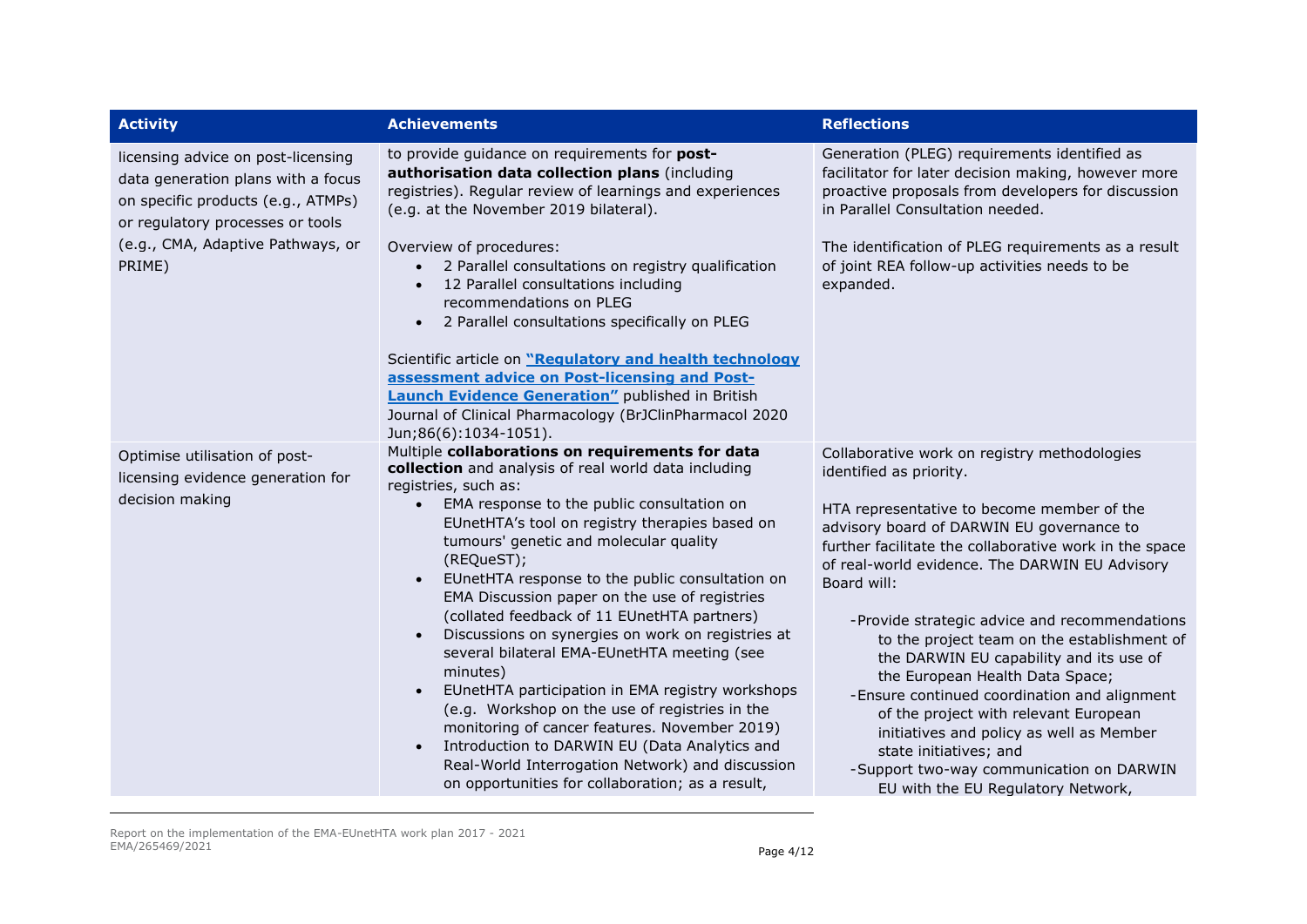| <b>Activity</b>                                                                                                                                                                                   | <b>Achievements</b>                                                                                                                                                                                                                                                                                                                                                                                                                                                                                                                                                                                                                                                                                                                                                                                                                                                         | <b>Reflections</b>                                                                                                                                                                                                                                                                                                                                                                                                                                                                                                                                                                                                                                                                                                           |
|---------------------------------------------------------------------------------------------------------------------------------------------------------------------------------------------------|-----------------------------------------------------------------------------------------------------------------------------------------------------------------------------------------------------------------------------------------------------------------------------------------------------------------------------------------------------------------------------------------------------------------------------------------------------------------------------------------------------------------------------------------------------------------------------------------------------------------------------------------------------------------------------------------------------------------------------------------------------------------------------------------------------------------------------------------------------------------------------|------------------------------------------------------------------------------------------------------------------------------------------------------------------------------------------------------------------------------------------------------------------------------------------------------------------------------------------------------------------------------------------------------------------------------------------------------------------------------------------------------------------------------------------------------------------------------------------------------------------------------------------------------------------------------------------------------------------------------|
| licensing advice on post-licensing<br>data generation plans with a focus<br>on specific products (e.g., ATMPs)<br>or regulatory processes or tools<br>(e.g., CMA, Adaptive Pathways, or<br>PRIME) | to provide guidance on requirements for post-<br>authorisation data collection plans (including<br>registries). Regular review of learnings and experiences<br>(e.g. at the November 2019 bilateral).<br>Overview of procedures:<br>2 Parallel consultations on registry qualification<br>12 Parallel consultations including<br>recommendations on PLEG<br>2 Parallel consultations specifically on PLEG<br>Scientific article on "Requiatory and health technology<br>assessment advice on Post-licensing and Post-<br><b>Launch Evidence Generation"</b> published in British<br>Journal of Clinical Pharmacology (BrJClinPharmacol 2020<br>Jun;86(6):1034-1051).                                                                                                                                                                                                        | Generation (PLEG) requirements identified as<br>facilitator for later decision making, however more<br>proactive proposals from developers for discussion<br>in Parallel Consultation needed.<br>The identification of PLEG requirements as a result<br>of joint REA follow-up activities needs to be<br>expanded.                                                                                                                                                                                                                                                                                                                                                                                                           |
| Optimise utilisation of post-<br>licensing evidence generation for<br>decision making                                                                                                             | Multiple collaborations on requirements for data<br>collection and analysis of real world data including<br>registries, such as:<br>EMA response to the public consultation on<br>EUnetHTA's tool on registry therapies based on<br>tumours' genetic and molecular quality<br>(REQueST);<br>EUnetHTA response to the public consultation on<br>EMA Discussion paper on the use of registries<br>(collated feedback of 11 EUnetHTA partners)<br>Discussions on synergies on work on registries at<br>several bilateral EMA-EUnetHTA meeting (see<br>minutes)<br>EUnetHTA participation in EMA registry workshops<br>(e.g. Workshop on the use of registries in the<br>monitoring of cancer features. November 2019)<br>Introduction to DARWIN EU (Data Analytics and<br>Real-World Interrogation Network) and discussion<br>on opportunities for collaboration; as a result, | Collaborative work on registry methodologies<br>identified as priority.<br>HTA representative to become member of the<br>advisory board of DARWIN EU governance to<br>further facilitate the collaborative work in the space<br>of real-world evidence. The DARWIN EU Advisory<br>Board will:<br>-Provide strategic advice and recommendations<br>to the project team on the establishment of<br>the DARWIN EU capability and its use of<br>the European Health Data Space;<br>-Ensure continued coordination and alignment<br>of the project with relevant European<br>initiatives and policy as well as Member<br>state initiatives; and<br>-Support two-way communication on DARWIN<br>EU with the EU Regulatory Network, |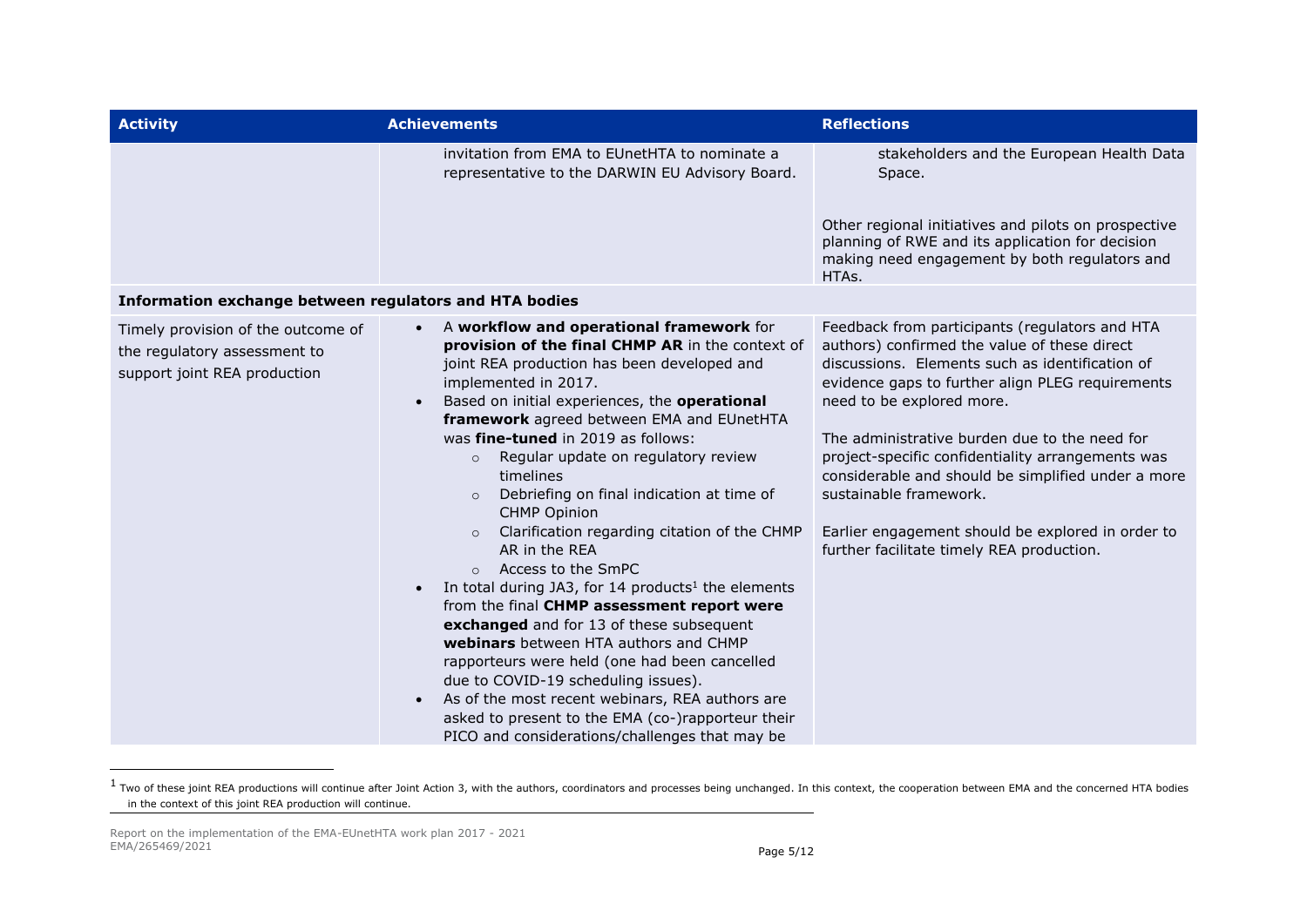| <b>Activity</b>                                                                                    | <b>Achievements</b>                                                                                                                                                                                                                                                                                                                                                                                                                                                                                                                                                                                                                                                                                                                                                                                                                                                                                                                                                                                                                                                           | <b>Reflections</b>                                                                                                                                                                                                                                                                                                                                                                                                                                                                                                         |
|----------------------------------------------------------------------------------------------------|-------------------------------------------------------------------------------------------------------------------------------------------------------------------------------------------------------------------------------------------------------------------------------------------------------------------------------------------------------------------------------------------------------------------------------------------------------------------------------------------------------------------------------------------------------------------------------------------------------------------------------------------------------------------------------------------------------------------------------------------------------------------------------------------------------------------------------------------------------------------------------------------------------------------------------------------------------------------------------------------------------------------------------------------------------------------------------|----------------------------------------------------------------------------------------------------------------------------------------------------------------------------------------------------------------------------------------------------------------------------------------------------------------------------------------------------------------------------------------------------------------------------------------------------------------------------------------------------------------------------|
|                                                                                                    | invitation from EMA to EUnetHTA to nominate a<br>representative to the DARWIN EU Advisory Board.                                                                                                                                                                                                                                                                                                                                                                                                                                                                                                                                                                                                                                                                                                                                                                                                                                                                                                                                                                              | stakeholders and the European Health Data<br>Space.                                                                                                                                                                                                                                                                                                                                                                                                                                                                        |
|                                                                                                    |                                                                                                                                                                                                                                                                                                                                                                                                                                                                                                                                                                                                                                                                                                                                                                                                                                                                                                                                                                                                                                                                               | Other regional initiatives and pilots on prospective<br>planning of RWE and its application for decision<br>making need engagement by both regulators and<br>HTAs.                                                                                                                                                                                                                                                                                                                                                         |
| Information exchange between regulators and HTA bodies                                             |                                                                                                                                                                                                                                                                                                                                                                                                                                                                                                                                                                                                                                                                                                                                                                                                                                                                                                                                                                                                                                                                               |                                                                                                                                                                                                                                                                                                                                                                                                                                                                                                                            |
| Timely provision of the outcome of<br>the regulatory assessment to<br>support joint REA production | A workflow and operational framework for<br>$\bullet$<br>provision of the final CHMP AR in the context of<br>joint REA production has been developed and<br>implemented in 2017.<br>Based on initial experiences, the operational<br>$\bullet$<br>framework agreed between EMA and EUnetHTA<br>was fine-tuned in 2019 as follows:<br>Regular update on regulatory review<br>$\circ$<br>timelines<br>Debriefing on final indication at time of<br>$\circ$<br><b>CHMP Opinion</b><br>Clarification regarding citation of the CHMP<br>$\circ$<br>AR in the REA<br>Access to the SmPC<br>$\circ$<br>In total during JA3, for 14 products <sup>1</sup> the elements<br>$\bullet$<br>from the final CHMP assessment report were<br>exchanged and for 13 of these subsequent<br>webinars between HTA authors and CHMP<br>rapporteurs were held (one had been cancelled<br>due to COVID-19 scheduling issues).<br>As of the most recent webinars, REA authors are<br>$\bullet$<br>asked to present to the EMA (co-)rapporteur their<br>PICO and considerations/challenges that may be | Feedback from participants (regulators and HTA<br>authors) confirmed the value of these direct<br>discussions. Elements such as identification of<br>evidence gaps to further align PLEG requirements<br>need to be explored more.<br>The administrative burden due to the need for<br>project-specific confidentiality arrangements was<br>considerable and should be simplified under a more<br>sustainable framework.<br>Earlier engagement should be explored in order to<br>further facilitate timely REA production. |

 $^1$  Two of these joint REA productions will continue after Joint Action 3, with the authors, coordinators and processes being unchanged. In this context, the cooperation between EMA and the concerned HTA bodies in the context of this joint REA production will continue.

ł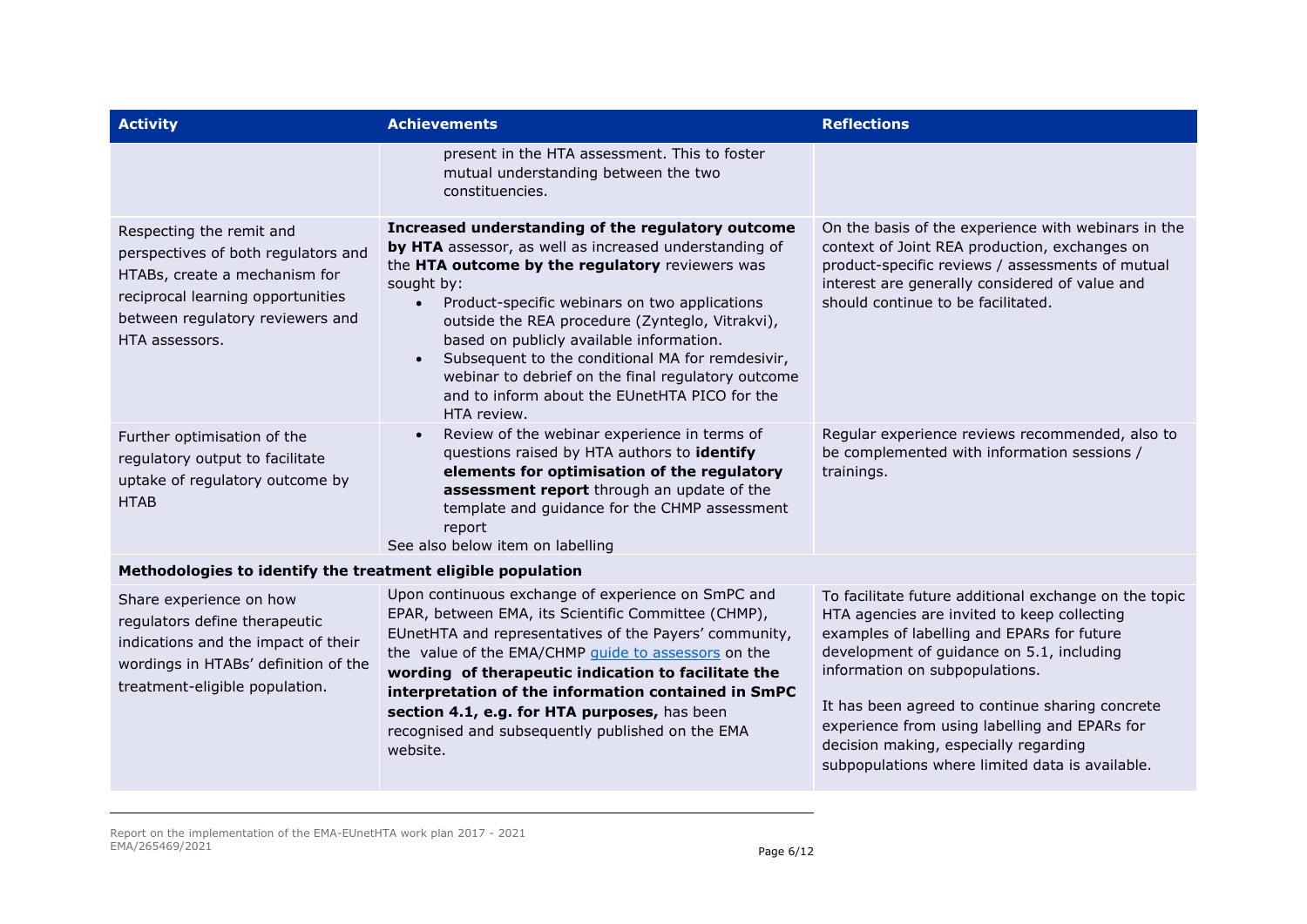| <b>Activity</b>                                                                                                                                                                             | <b>Achievements</b>                                                                                                                                                                                                                                                                                                                                                                                                                                                                                                              | <b>Reflections</b>                                                                                                                                                                                                                                                                                                                                                                                                                |
|---------------------------------------------------------------------------------------------------------------------------------------------------------------------------------------------|----------------------------------------------------------------------------------------------------------------------------------------------------------------------------------------------------------------------------------------------------------------------------------------------------------------------------------------------------------------------------------------------------------------------------------------------------------------------------------------------------------------------------------|-----------------------------------------------------------------------------------------------------------------------------------------------------------------------------------------------------------------------------------------------------------------------------------------------------------------------------------------------------------------------------------------------------------------------------------|
|                                                                                                                                                                                             | present in the HTA assessment. This to foster<br>mutual understanding between the two<br>constituencies.                                                                                                                                                                                                                                                                                                                                                                                                                         |                                                                                                                                                                                                                                                                                                                                                                                                                                   |
| Respecting the remit and<br>perspectives of both regulators and<br>HTABs, create a mechanism for<br>reciprocal learning opportunities<br>between regulatory reviewers and<br>HTA assessors. | Increased understanding of the regulatory outcome<br>by HTA assessor, as well as increased understanding of<br>the HTA outcome by the regulatory reviewers was<br>sought by:<br>Product-specific webinars on two applications<br>$\bullet$<br>outside the REA procedure (Zynteglo, Vitrakvi),<br>based on publicly available information.<br>Subsequent to the conditional MA for remdesivir,<br>$\bullet$<br>webinar to debrief on the final regulatory outcome<br>and to inform about the EUnetHTA PICO for the<br>HTA review. | On the basis of the experience with webinars in the<br>context of Joint REA production, exchanges on<br>product-specific reviews / assessments of mutual<br>interest are generally considered of value and<br>should continue to be facilitated.                                                                                                                                                                                  |
| Further optimisation of the<br>regulatory output to facilitate<br>uptake of regulatory outcome by<br><b>HTAB</b>                                                                            | Review of the webinar experience in terms of<br>questions raised by HTA authors to identify<br>elements for optimisation of the regulatory<br>assessment report through an update of the<br>template and guidance for the CHMP assessment<br>report<br>See also below item on labelling                                                                                                                                                                                                                                          | Regular experience reviews recommended, also to<br>be complemented with information sessions /<br>trainings.                                                                                                                                                                                                                                                                                                                      |
| Methodologies to identify the treatment eligible population                                                                                                                                 |                                                                                                                                                                                                                                                                                                                                                                                                                                                                                                                                  |                                                                                                                                                                                                                                                                                                                                                                                                                                   |
| Share experience on how<br>regulators define therapeutic<br>indications and the impact of their<br>wordings in HTABs' definition of the<br>treatment-eligible population.                   | Upon continuous exchange of experience on SmPC and<br>EPAR, between EMA, its Scientific Committee (CHMP),<br>EUnetHTA and representatives of the Payers' community,<br>the value of the EMA/CHMP guide to assessors on the<br>wording of therapeutic indication to facilitate the<br>interpretation of the information contained in SmPC<br>section 4.1, e.g. for HTA purposes, has been<br>recognised and subsequently published on the EMA<br>website.                                                                         | To facilitate future additional exchange on the topic<br>HTA agencies are invited to keep collecting<br>examples of labelling and EPARs for future<br>development of guidance on 5.1, including<br>information on subpopulations.<br>It has been agreed to continue sharing concrete<br>experience from using labelling and EPARs for<br>decision making, especially regarding<br>subpopulations where limited data is available. |

Report on the implementation of the EMA-EUnetHTA work plan 2017 - 2021 EMA/265469/2021 Page 6/12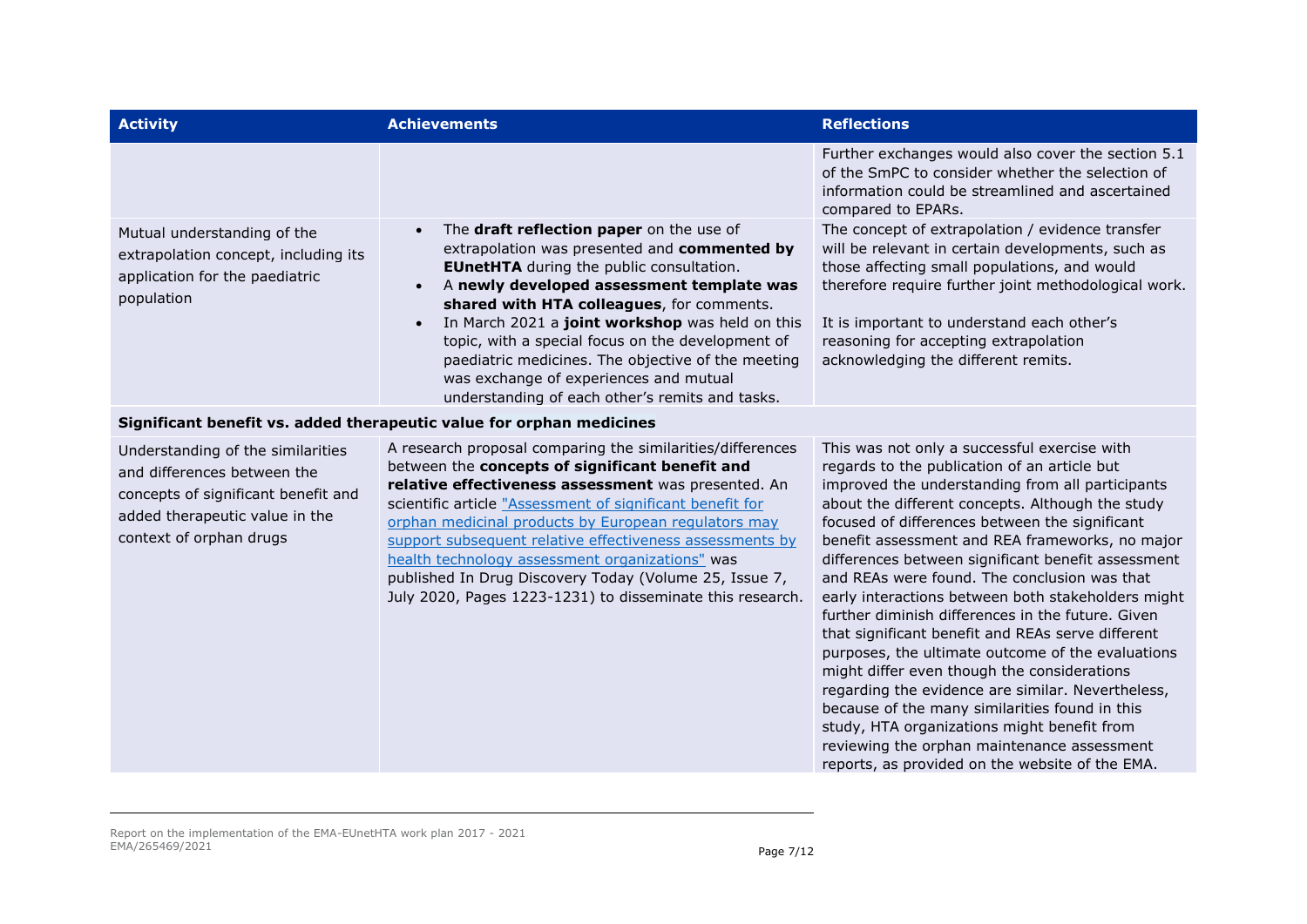| <b>Activity</b>                                                                                                                                                      | <b>Achievements</b>                                                                                                                                                                                                                                                                                                                                                                                                                                                                                                             | <b>Reflections</b>                                                                                                                                                                                                                                                                                                                                                                                                                                                                                                                                                                                                                                                                                                                                                                                                                                                                                                                          |
|----------------------------------------------------------------------------------------------------------------------------------------------------------------------|---------------------------------------------------------------------------------------------------------------------------------------------------------------------------------------------------------------------------------------------------------------------------------------------------------------------------------------------------------------------------------------------------------------------------------------------------------------------------------------------------------------------------------|---------------------------------------------------------------------------------------------------------------------------------------------------------------------------------------------------------------------------------------------------------------------------------------------------------------------------------------------------------------------------------------------------------------------------------------------------------------------------------------------------------------------------------------------------------------------------------------------------------------------------------------------------------------------------------------------------------------------------------------------------------------------------------------------------------------------------------------------------------------------------------------------------------------------------------------------|
|                                                                                                                                                                      |                                                                                                                                                                                                                                                                                                                                                                                                                                                                                                                                 | Further exchanges would also cover the section 5.1<br>of the SmPC to consider whether the selection of<br>information could be streamlined and ascertained<br>compared to EPARs.                                                                                                                                                                                                                                                                                                                                                                                                                                                                                                                                                                                                                                                                                                                                                            |
| Mutual understanding of the<br>extrapolation concept, including its<br>application for the paediatric<br>population                                                  | The draft reflection paper on the use of<br>extrapolation was presented and commented by<br><b>EUnetHTA</b> during the public consultation.<br>A newly developed assessment template was<br>shared with HTA colleagues, for comments.<br>In March 2021 a joint workshop was held on this<br>topic, with a special focus on the development of<br>paediatric medicines. The objective of the meeting<br>was exchange of experiences and mutual<br>understanding of each other's remits and tasks.                                | The concept of extrapolation / evidence transfer<br>will be relevant in certain developments, such as<br>those affecting small populations, and would<br>therefore require further joint methodological work.<br>It is important to understand each other's<br>reasoning for accepting extrapolation<br>acknowledging the different remits.                                                                                                                                                                                                                                                                                                                                                                                                                                                                                                                                                                                                 |
|                                                                                                                                                                      | Significant benefit vs. added therapeutic value for orphan medicines                                                                                                                                                                                                                                                                                                                                                                                                                                                            |                                                                                                                                                                                                                                                                                                                                                                                                                                                                                                                                                                                                                                                                                                                                                                                                                                                                                                                                             |
| Understanding of the similarities<br>and differences between the<br>concepts of significant benefit and<br>added therapeutic value in the<br>context of orphan drugs | A research proposal comparing the similarities/differences<br>between the concepts of significant benefit and<br>relative effectiveness assessment was presented. An<br>scientific article "Assessment of significant benefit for<br>orphan medicinal products by European regulators may<br>support subsequent relative effectiveness assessments by<br>health technology assessment organizations" was<br>published In Drug Discovery Today (Volume 25, Issue 7,<br>July 2020, Pages 1223-1231) to disseminate this research. | This was not only a successful exercise with<br>regards to the publication of an article but<br>improved the understanding from all participants<br>about the different concepts. Although the study<br>focused of differences between the significant<br>benefit assessment and REA frameworks, no major<br>differences between significant benefit assessment<br>and REAs were found. The conclusion was that<br>early interactions between both stakeholders might<br>further diminish differences in the future. Given<br>that significant benefit and REAs serve different<br>purposes, the ultimate outcome of the evaluations<br>might differ even though the considerations<br>regarding the evidence are similar. Nevertheless,<br>because of the many similarities found in this<br>study, HTA organizations might benefit from<br>reviewing the orphan maintenance assessment<br>reports, as provided on the website of the EMA. |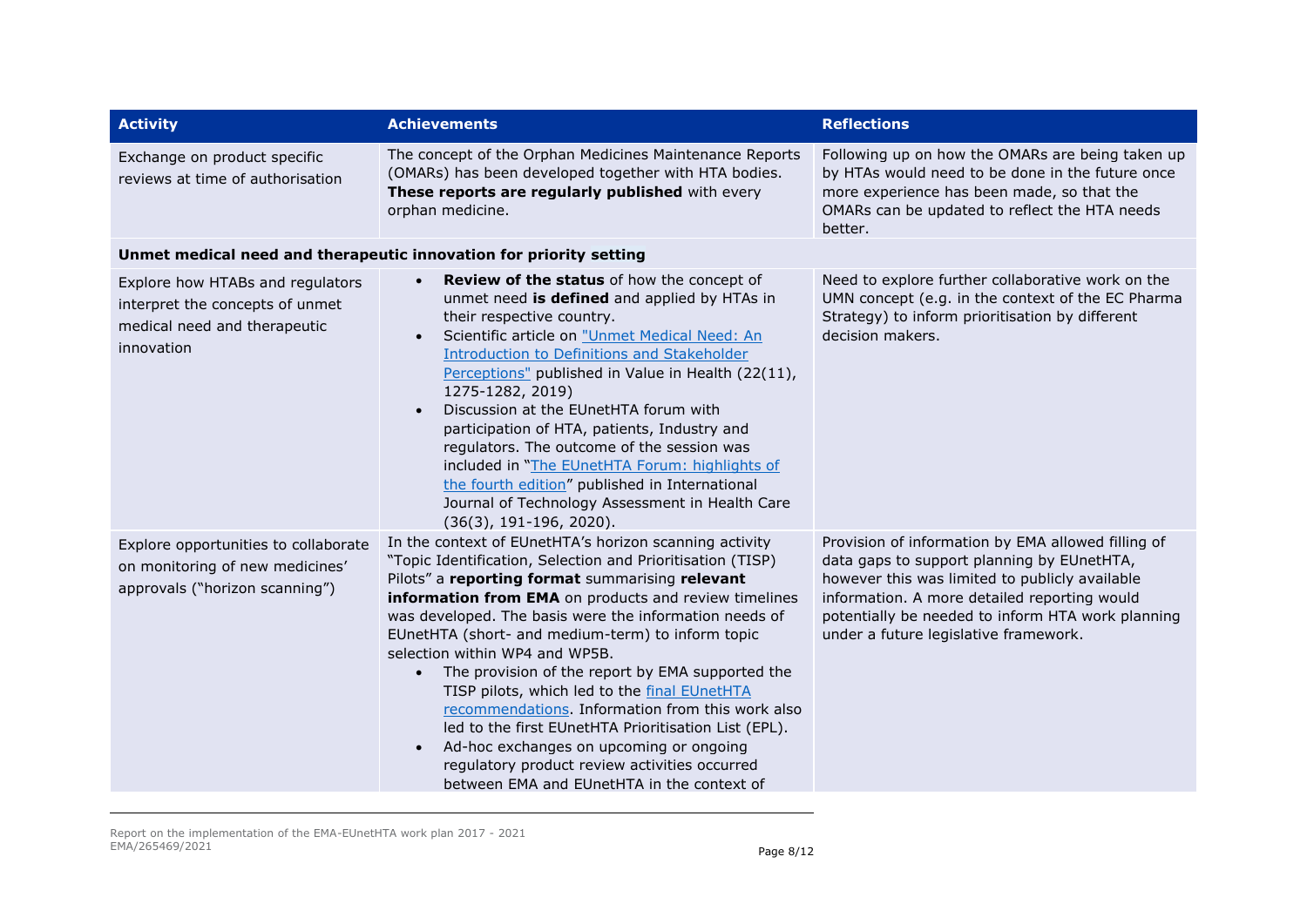| <b>Activity</b>                                                                                                   | <b>Achievements</b>                                                                                                                                                                                                                                                                                                                                                                                                                                                                                                                                                                                                                                                                                                                                      | <b>Reflections</b>                                                                                                                                                                                                                                                                               |
|-------------------------------------------------------------------------------------------------------------------|----------------------------------------------------------------------------------------------------------------------------------------------------------------------------------------------------------------------------------------------------------------------------------------------------------------------------------------------------------------------------------------------------------------------------------------------------------------------------------------------------------------------------------------------------------------------------------------------------------------------------------------------------------------------------------------------------------------------------------------------------------|--------------------------------------------------------------------------------------------------------------------------------------------------------------------------------------------------------------------------------------------------------------------------------------------------|
| Exchange on product specific<br>reviews at time of authorisation                                                  | The concept of the Orphan Medicines Maintenance Reports<br>(OMARs) has been developed together with HTA bodies.<br>These reports are regularly published with every<br>orphan medicine.                                                                                                                                                                                                                                                                                                                                                                                                                                                                                                                                                                  | Following up on how the OMARs are being taken up<br>by HTAs would need to be done in the future once<br>more experience has been made, so that the<br>OMARs can be updated to reflect the HTA needs<br>better.                                                                                   |
|                                                                                                                   | Unmet medical need and therapeutic innovation for priority setting                                                                                                                                                                                                                                                                                                                                                                                                                                                                                                                                                                                                                                                                                       |                                                                                                                                                                                                                                                                                                  |
| Explore how HTABs and regulators<br>interpret the concepts of unmet<br>medical need and therapeutic<br>innovation | Review of the status of how the concept of<br>unmet need is defined and applied by HTAs in<br>their respective country.<br>Scientific article on "Unmet Medical Need: An<br><b>Introduction to Definitions and Stakeholder</b><br>Perceptions" published in Value in Health (22(11),<br>1275-1282, 2019)<br>Discussion at the EUnetHTA forum with<br>participation of HTA, patients, Industry and<br>regulators. The outcome of the session was<br>included in "The EUnetHTA Forum: highlights of<br>the fourth edition" published in International<br>Journal of Technology Assessment in Health Care<br>$(36(3), 191-196, 2020).$                                                                                                                      | Need to explore further collaborative work on the<br>UMN concept (e.g. in the context of the EC Pharma<br>Strategy) to inform prioritisation by different<br>decision makers.                                                                                                                    |
| Explore opportunities to collaborate<br>on monitoring of new medicines'<br>approvals ("horizon scanning")         | In the context of EUnetHTA's horizon scanning activity<br>"Topic Identification, Selection and Prioritisation (TISP)<br>Pilots" a reporting format summarising relevant<br>information from EMA on products and review timelines<br>was developed. The basis were the information needs of<br>EUnetHTA (short- and medium-term) to inform topic<br>selection within WP4 and WP5B.<br>The provision of the report by EMA supported the<br>$\bullet$<br>TISP pilots, which led to the final EUnetHTA<br>recommendations. Information from this work also<br>led to the first EUnetHTA Prioritisation List (EPL).<br>Ad-hoc exchanges on upcoming or ongoing<br>regulatory product review activities occurred<br>between EMA and EUnetHTA in the context of | Provision of information by EMA allowed filling of<br>data gaps to support planning by EUnetHTA,<br>however this was limited to publicly available<br>information. A more detailed reporting would<br>potentially be needed to inform HTA work planning<br>under a future legislative framework. |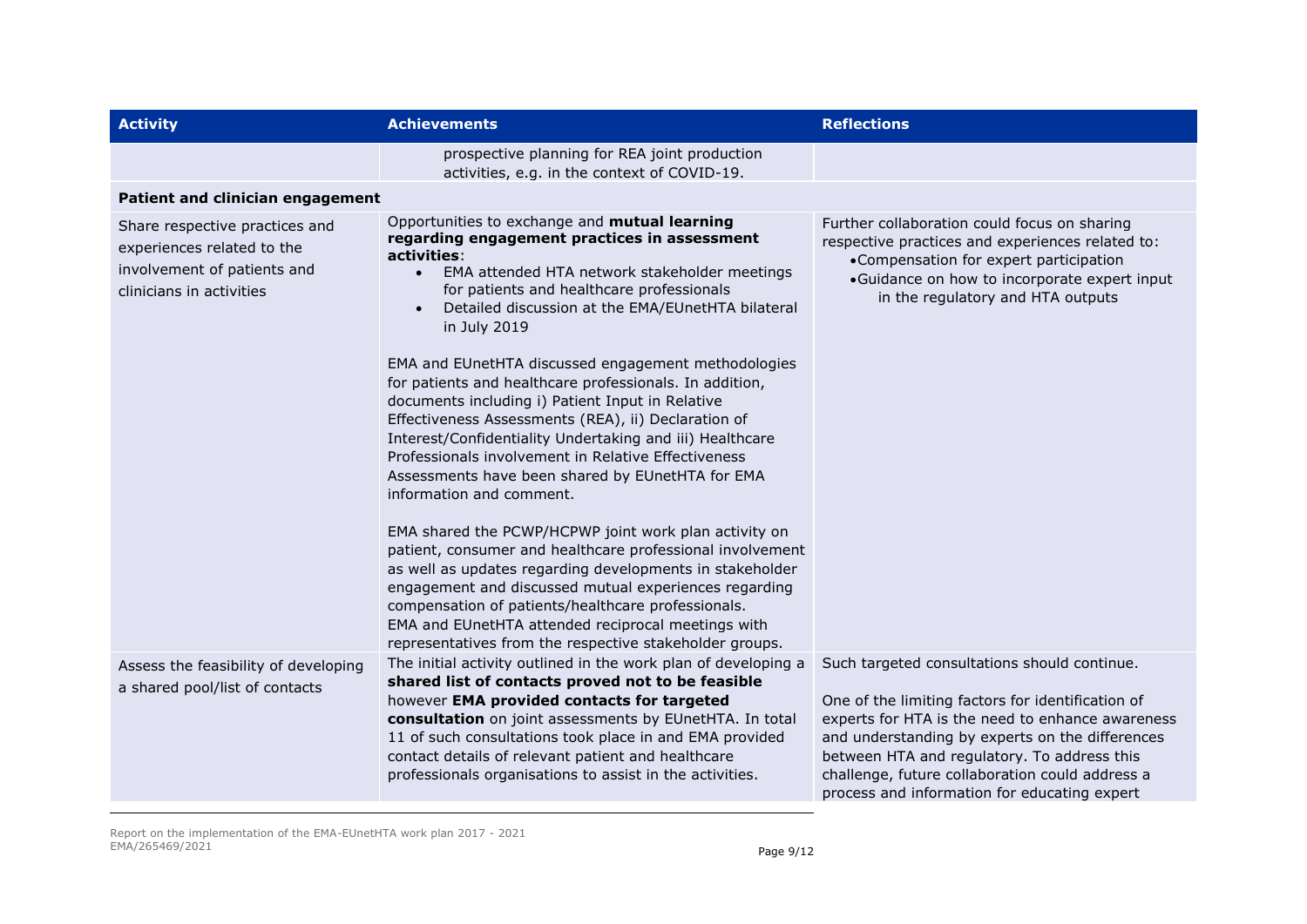| <b>Activity</b>                                                                                                         | <b>Achievements</b>                                                                                                                                                                                                                                                                                                                                                                                                          | <b>Reflections</b>                                                                                                                                                                                                                                                                                                                                         |
|-------------------------------------------------------------------------------------------------------------------------|------------------------------------------------------------------------------------------------------------------------------------------------------------------------------------------------------------------------------------------------------------------------------------------------------------------------------------------------------------------------------------------------------------------------------|------------------------------------------------------------------------------------------------------------------------------------------------------------------------------------------------------------------------------------------------------------------------------------------------------------------------------------------------------------|
|                                                                                                                         | prospective planning for REA joint production<br>activities, e.g. in the context of COVID-19.                                                                                                                                                                                                                                                                                                                                |                                                                                                                                                                                                                                                                                                                                                            |
| Patient and clinician engagement                                                                                        |                                                                                                                                                                                                                                                                                                                                                                                                                              |                                                                                                                                                                                                                                                                                                                                                            |
| Share respective practices and<br>experiences related to the<br>involvement of patients and<br>clinicians in activities | Opportunities to exchange and mutual learning<br>regarding engagement practices in assessment<br>activities:<br>EMA attended HTA network stakeholder meetings<br>$\bullet$<br>for patients and healthcare professionals<br>Detailed discussion at the EMA/EUnetHTA bilateral<br>$\bullet$<br>in July 2019                                                                                                                    | Further collaboration could focus on sharing<br>respective practices and experiences related to:<br>•Compensation for expert participation<br>•Guidance on how to incorporate expert input<br>in the regulatory and HTA outputs                                                                                                                            |
|                                                                                                                         | EMA and EUnetHTA discussed engagement methodologies<br>for patients and healthcare professionals. In addition,<br>documents including i) Patient Input in Relative<br>Effectiveness Assessments (REA), ii) Declaration of<br>Interest/Confidentiality Undertaking and iii) Healthcare<br>Professionals involvement in Relative Effectiveness<br>Assessments have been shared by EUnetHTA for EMA<br>information and comment. |                                                                                                                                                                                                                                                                                                                                                            |
|                                                                                                                         | EMA shared the PCWP/HCPWP joint work plan activity on<br>patient, consumer and healthcare professional involvement<br>as well as updates regarding developments in stakeholder<br>engagement and discussed mutual experiences regarding<br>compensation of patients/healthcare professionals.<br>EMA and EUnetHTA attended reciprocal meetings with<br>representatives from the respective stakeholder groups.               |                                                                                                                                                                                                                                                                                                                                                            |
| Assess the feasibility of developing<br>a shared pool/list of contacts                                                  | The initial activity outlined in the work plan of developing a<br>shared list of contacts proved not to be feasible<br>however EMA provided contacts for targeted<br>consultation on joint assessments by EUnetHTA. In total<br>11 of such consultations took place in and EMA provided<br>contact details of relevant patient and healthcare<br>professionals organisations to assist in the activities.                    | Such targeted consultations should continue.<br>One of the limiting factors for identification of<br>experts for HTA is the need to enhance awareness<br>and understanding by experts on the differences<br>between HTA and regulatory. To address this<br>challenge, future collaboration could address a<br>process and information for educating expert |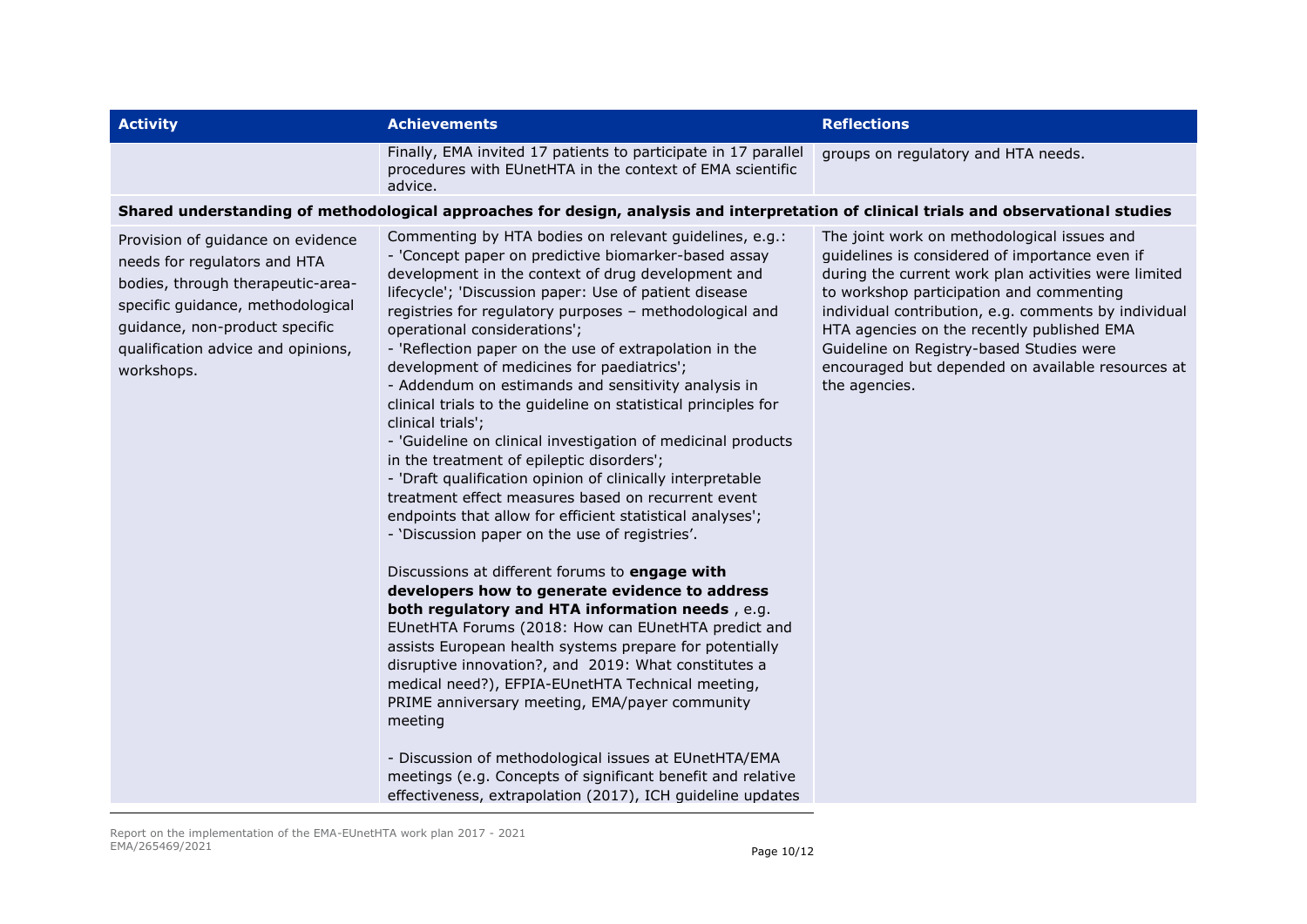| <b>Activity</b>                                                                                                                                                                                                                   | <b>Achievements</b>                                                                                                                                                                                                                                                                                                                                                                                                                                                                                                                                                                                                                                                                                                                                                                                                                                                                                                                                                                                                                                                                                                                                                                                                                                                                                                                                                                                                                                                                                                                                                     | <b>Reflections</b>                                                                                                                                                                                                                                                                                                                                                                                                        |
|-----------------------------------------------------------------------------------------------------------------------------------------------------------------------------------------------------------------------------------|-------------------------------------------------------------------------------------------------------------------------------------------------------------------------------------------------------------------------------------------------------------------------------------------------------------------------------------------------------------------------------------------------------------------------------------------------------------------------------------------------------------------------------------------------------------------------------------------------------------------------------------------------------------------------------------------------------------------------------------------------------------------------------------------------------------------------------------------------------------------------------------------------------------------------------------------------------------------------------------------------------------------------------------------------------------------------------------------------------------------------------------------------------------------------------------------------------------------------------------------------------------------------------------------------------------------------------------------------------------------------------------------------------------------------------------------------------------------------------------------------------------------------------------------------------------------------|---------------------------------------------------------------------------------------------------------------------------------------------------------------------------------------------------------------------------------------------------------------------------------------------------------------------------------------------------------------------------------------------------------------------------|
|                                                                                                                                                                                                                                   | Finally, EMA invited 17 patients to participate in 17 parallel<br>procedures with EUnetHTA in the context of EMA scientific<br>advice.                                                                                                                                                                                                                                                                                                                                                                                                                                                                                                                                                                                                                                                                                                                                                                                                                                                                                                                                                                                                                                                                                                                                                                                                                                                                                                                                                                                                                                  | groups on regulatory and HTA needs.                                                                                                                                                                                                                                                                                                                                                                                       |
|                                                                                                                                                                                                                                   | Shared understanding of methodological approaches for design, analysis and interpretation of clinical trials and observational studies                                                                                                                                                                                                                                                                                                                                                                                                                                                                                                                                                                                                                                                                                                                                                                                                                                                                                                                                                                                                                                                                                                                                                                                                                                                                                                                                                                                                                                  |                                                                                                                                                                                                                                                                                                                                                                                                                           |
| Provision of guidance on evidence<br>needs for regulators and HTA<br>bodies, through therapeutic-area-<br>specific guidance, methodological<br>guidance, non-product specific<br>qualification advice and opinions,<br>workshops. | Commenting by HTA bodies on relevant guidelines, e.g.:<br>- 'Concept paper on predictive biomarker-based assay<br>development in the context of drug development and<br>lifecycle'; 'Discussion paper: Use of patient disease<br>registries for regulatory purposes - methodological and<br>operational considerations';<br>- 'Reflection paper on the use of extrapolation in the<br>development of medicines for paediatrics';<br>- Addendum on estimands and sensitivity analysis in<br>clinical trials to the guideline on statistical principles for<br>clinical trials';<br>- 'Guideline on clinical investigation of medicinal products<br>in the treatment of epileptic disorders';<br>- 'Draft qualification opinion of clinically interpretable<br>treatment effect measures based on recurrent event<br>endpoints that allow for efficient statistical analyses';<br>- 'Discussion paper on the use of registries'.<br>Discussions at different forums to engage with<br>developers how to generate evidence to address<br>both regulatory and HTA information needs, e.g.<br>EUnetHTA Forums (2018: How can EUnetHTA predict and<br>assists European health systems prepare for potentially<br>disruptive innovation?, and 2019: What constitutes a<br>medical need?), EFPIA-EUnetHTA Technical meeting,<br>PRIME anniversary meeting, EMA/payer community<br>meeting<br>- Discussion of methodological issues at EUnetHTA/EMA<br>meetings (e.g. Concepts of significant benefit and relative<br>effectiveness, extrapolation (2017), ICH guideline updates | The joint work on methodological issues and<br>guidelines is considered of importance even if<br>during the current work plan activities were limited<br>to workshop participation and commenting<br>individual contribution, e.g. comments by individual<br>HTA agencies on the recently published EMA<br>Guideline on Registry-based Studies were<br>encouraged but depended on available resources at<br>the agencies. |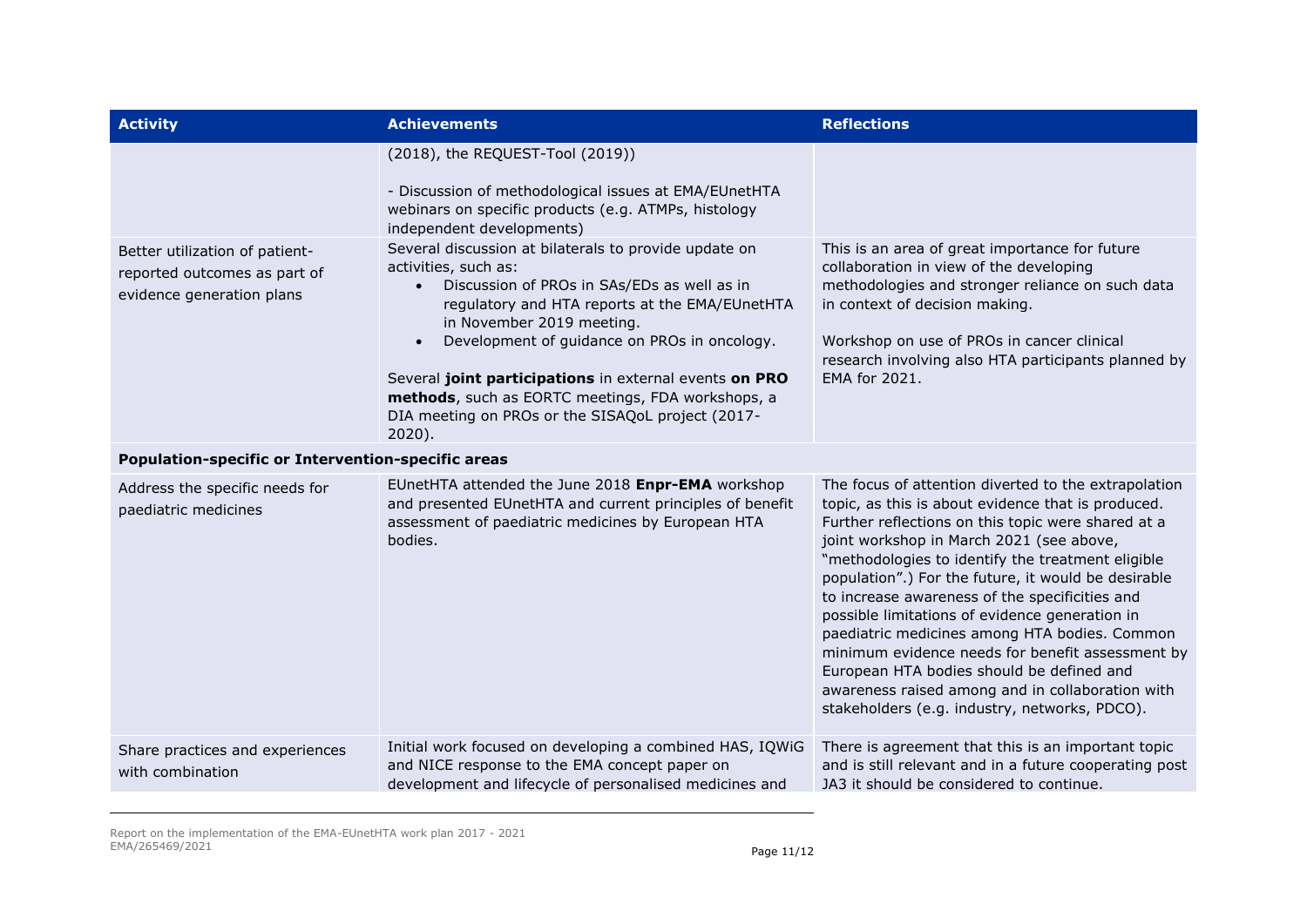| <b>Activity</b>                                                                             | <b>Achievements</b>                                                                                                                                                                                                                                                                                                                                                                                                                          | <b>Reflections</b>                                                                                                                                                                                                                                                                                                                                                                                                                                                                                                                                                                                                                                                                  |
|---------------------------------------------------------------------------------------------|----------------------------------------------------------------------------------------------------------------------------------------------------------------------------------------------------------------------------------------------------------------------------------------------------------------------------------------------------------------------------------------------------------------------------------------------|-------------------------------------------------------------------------------------------------------------------------------------------------------------------------------------------------------------------------------------------------------------------------------------------------------------------------------------------------------------------------------------------------------------------------------------------------------------------------------------------------------------------------------------------------------------------------------------------------------------------------------------------------------------------------------------|
|                                                                                             | (2018), the REQUEST-Tool (2019))<br>- Discussion of methodological issues at EMA/EUnetHTA<br>webinars on specific products (e.g. ATMPs, histology<br>independent developments)                                                                                                                                                                                                                                                               |                                                                                                                                                                                                                                                                                                                                                                                                                                                                                                                                                                                                                                                                                     |
| Better utilization of patient-<br>reported outcomes as part of<br>evidence generation plans | Several discussion at bilaterals to provide update on<br>activities, such as:<br>Discussion of PROs in SAs/EDs as well as in<br>regulatory and HTA reports at the EMA/EUnetHTA<br>in November 2019 meeting.<br>Development of guidance on PROs in oncology.<br>Several joint participations in external events on PRO<br>methods, such as EORTC meetings, FDA workshops, a<br>DIA meeting on PROs or the SISAQoL project (2017-<br>$2020$ ). | This is an area of great importance for future<br>collaboration in view of the developing<br>methodologies and stronger reliance on such data<br>in context of decision making.<br>Workshop on use of PROs in cancer clinical<br>research involving also HTA participants planned by<br>EMA for 2021.                                                                                                                                                                                                                                                                                                                                                                               |
| <b>Population-specific or Intervention-specific areas</b>                                   |                                                                                                                                                                                                                                                                                                                                                                                                                                              |                                                                                                                                                                                                                                                                                                                                                                                                                                                                                                                                                                                                                                                                                     |
| Address the specific needs for<br>paediatric medicines                                      | EUnetHTA attended the June 2018 Enpr-EMA workshop<br>and presented EUnetHTA and current principles of benefit<br>assessment of paediatric medicines by European HTA<br>bodies.                                                                                                                                                                                                                                                               | The focus of attention diverted to the extrapolation<br>topic, as this is about evidence that is produced.<br>Further reflections on this topic were shared at a<br>joint workshop in March 2021 (see above,<br>"methodologies to identify the treatment eligible<br>population".) For the future, it would be desirable<br>to increase awareness of the specificities and<br>possible limitations of evidence generation in<br>paediatric medicines among HTA bodies. Common<br>minimum evidence needs for benefit assessment by<br>European HTA bodies should be defined and<br>awareness raised among and in collaboration with<br>stakeholders (e.g. industry, networks, PDCO). |
| Share practices and experiences<br>with combination                                         | Initial work focused on developing a combined HAS, IQWiG<br>and NICE response to the EMA concept paper on<br>development and lifecycle of personalised medicines and                                                                                                                                                                                                                                                                         | There is agreement that this is an important topic<br>and is still relevant and in a future cooperating post<br>JA3 it should be considered to continue.                                                                                                                                                                                                                                                                                                                                                                                                                                                                                                                            |